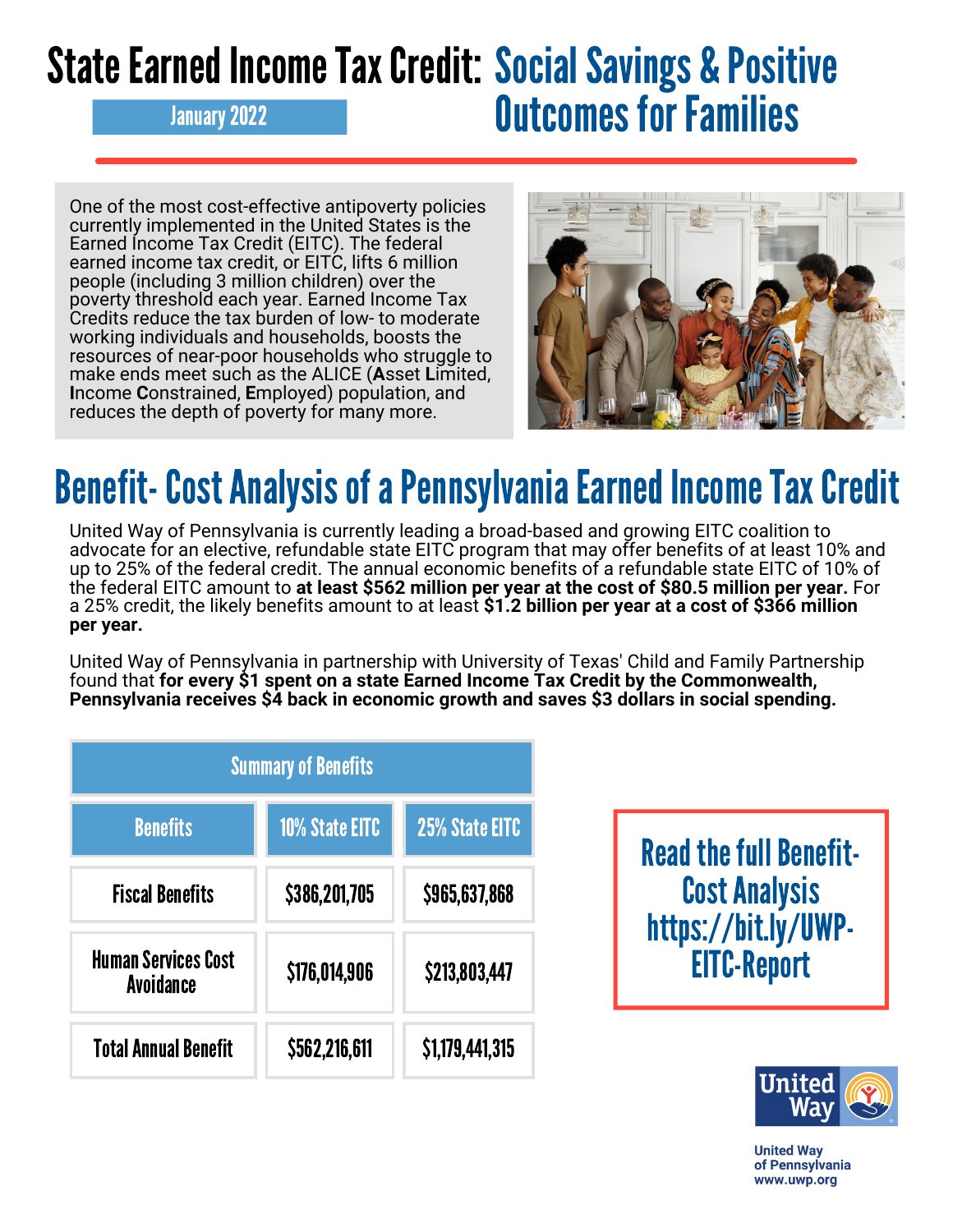## State Earned Income Tax Credit: Social Savings & Positive **January 2022 Concrete Contract Contract Outcomes for Families**

One of the most cost-effective antipoverty policies currently implemented in the United States is the Earned Income Tax Credit (EITC). The federal earned income tax credit, or EITC, lifts 6 million people (including 3 million children) over the poverty threshold each year. Earned Income Tax Credits reduce the tax burden of low- to moderate working individuals and households, boosts the resources of near-poor households who struggle to make ends meet such as the ALICE (**A**sset **L**imited, **I**ncome **C**onstrained, **E**mployed) population, and reduces the depth of poverty for many more.



## Benefit- Cost Analysis of a Pennsylvania Earned Income Tax Credit

United Way of Pennsylvania is currently leading a broad-based and growing EITC coalition to advocate for an elective, refundable state EITC program that may offer benefits of at least 10% and up to 25% of the federal credit. The annual economic benefits of a refundable state EITC of 10% of the federal EITC amount to **at least \$562 million per year at the cost of \$80.5 million per year.** For a 25% credit, the likely benefits amount to at least **\$1.2 billion per year at a cost of \$366 million per year.**

United Way of Pennsylvania in partnership with University of Texas' Child and Family Partnership found that **for every \$1 spent on a state Earned Income Tax Credit by the Commonwealth, Pennsylvania receives \$4 back in economic growth and saves \$3 dollars in social spending.**

| <b>Summary of Benefits</b>                     |                |                 |  |
|------------------------------------------------|----------------|-----------------|--|
| <b>Benefits</b>                                | 10% State EITC | 25% State EITC  |  |
| <b>Fiscal Benefits</b>                         | \$386,201,705  | \$965,637,868   |  |
| <b>Human Services Cost</b><br><b>Avoidance</b> | \$176,014,906  | \$213,803,447   |  |
| <b>Total Annual Benefit</b>                    | \$562,216,611  | \$1,179,441,315 |  |

**Read the full Benefit-**CostAnalysis [https://bit.ly/UWP-](https://bit.ly/UWP-EITC-Report)EITC-Report



**United Wav** of Pennsylvania www.uwp.org